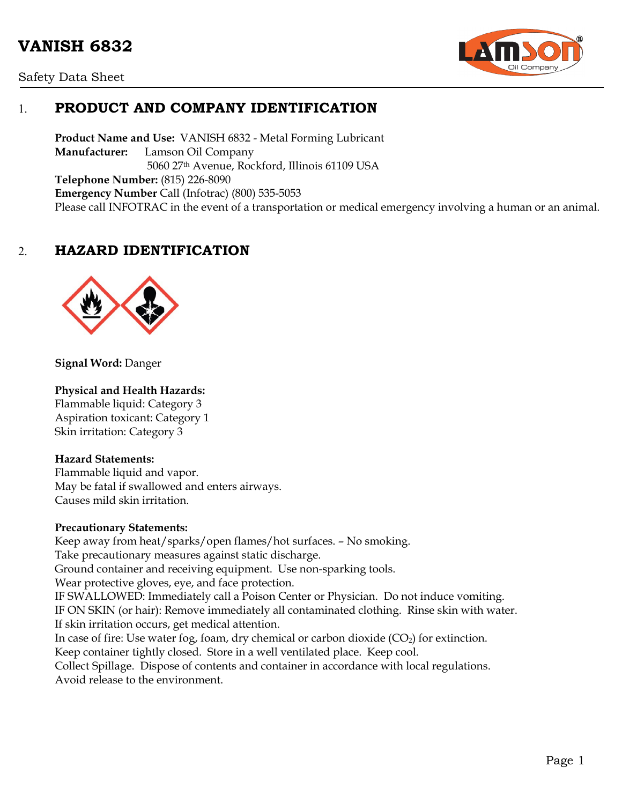# **VANISH 6832**





# 1. **PRODUCT AND COMPANY IDENTIFICATION**

**Product Name and Use:** VANISH 6832 - Metal Forming Lubricant **Manufacturer:** Lamson Oil Company 5060 27th Avenue, Rockford, Illinois 61109 USA **Telephone Number:** (815) 226-8090 **Emergency Number** Call (Infotrac) (800) 535-5053 Please call INFOTRAC in the event of a transportation or medical emergency involving a human or an animal.

### 2. **HAZARD IDENTIFICATION**



**Signal Word:** Danger

#### **Physical and Health Hazards:**

Flammable liquid: Category 3 Aspiration toxicant: Category 1 Skin irritation: Category 3

#### **Hazard Statements:**

Flammable liquid and vapor. May be fatal if swallowed and enters airways. Causes mild skin irritation.

#### **Precautionary Statements:**

Keep away from heat/sparks/open flames/hot surfaces. – No smoking. Take precautionary measures against static discharge. Ground container and receiving equipment. Use non-sparking tools. Wear protective gloves, eye, and face protection. IF SWALLOWED: Immediately call a Poison Center or Physician. Do not induce vomiting. IF ON SKIN (or hair): Remove immediately all contaminated clothing. Rinse skin with water. If skin irritation occurs, get medical attention. In case of fire: Use water fog, foam, dry chemical or carbon dioxide  $(CO<sub>2</sub>)$  for extinction. Keep container tightly closed. Store in a well ventilated place. Keep cool. Collect Spillage. Dispose of contents and container in accordance with local regulations. Avoid release to the environment.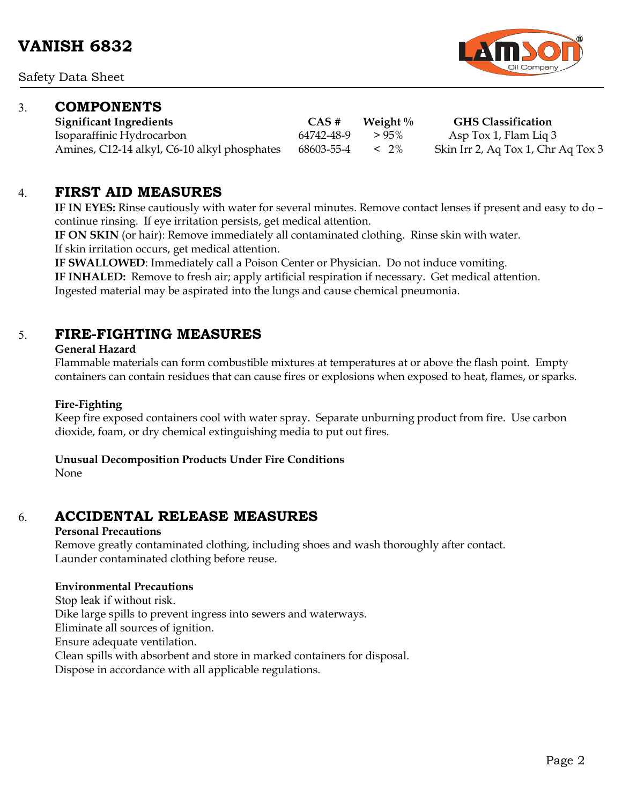Safety Data Sheet

### 3. **COMPONENTS**

**Significant Ingredients CAS # Weight % GHS Classification** Isoparaffinic Hydrocarbon 64742-48-9 > 95% Asp Tox 1, Flam Liq 3 Amines, C12-14 alkyl, C6-10 alkyl phosphates 68603-55-4 < 2% Skin Irr 2, Aq Tox 1, Chr Aq Tox 3

### 4. **FIRST AID MEASURES**

**IF IN EYES:** Rinse cautiously with water for several minutes. Remove contact lenses if present and easy to do – continue rinsing. If eye irritation persists, get medical attention.

**IF ON SKIN** (or hair): Remove immediately all contaminated clothing. Rinse skin with water. If skin irritation occurs, get medical attention.

**IF SWALLOWED**: Immediately call a Poison Center or Physician. Do not induce vomiting.

**IF INHALED:** Remove to fresh air; apply artificial respiration if necessary. Get medical attention.

Ingested material may be aspirated into the lungs and cause chemical pneumonia.

### 5. **FIRE-FIGHTING MEASURES**

#### **General Hazard**

Flammable materials can form combustible mixtures at temperatures at or above the flash point. Empty containers can contain residues that can cause fires or explosions when exposed to heat, flames, or sparks.

#### **Fire-Fighting**

Keep fire exposed containers cool with water spray. Separate unburning product from fire. Use carbon dioxide, foam, or dry chemical extinguishing media to put out fires.

#### **Unusual Decomposition Products Under Fire Conditions**

None

# 6. **ACCIDENTAL RELEASE MEASURES**

#### **Personal Precautions**

Remove greatly contaminated clothing, including shoes and wash thoroughly after contact. Launder contaminated clothing before reuse.

#### **Environmental Precautions**

Stop leak if without risk. Dike large spills to prevent ingress into sewers and waterways. Eliminate all sources of ignition. Ensure adequate ventilation. Clean spills with absorbent and store in marked containers for disposal. Dispose in accordance with all applicable regulations.

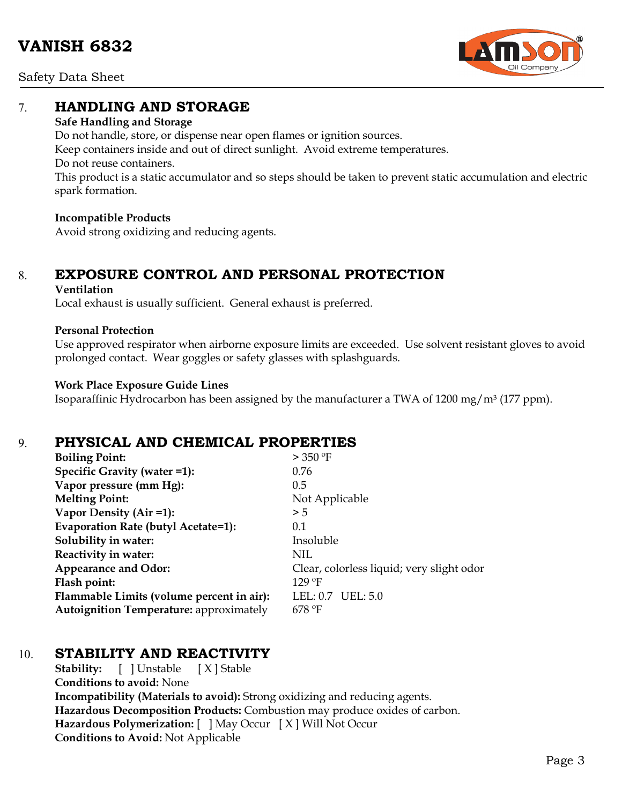Safety Data Sheet



### 7. **HANDLING AND STORAGE**

#### **Safe Handling and Storage**

Do not handle, store, or dispense near open flames or ignition sources. Keep containers inside and out of direct sunlight. Avoid extreme temperatures. Do not reuse containers. This product is a static accumulator and so steps should be taken to prevent static accumulation and electric spark formation.

#### **Incompatible Products**

Avoid strong oxidizing and reducing agents.

# 8. **EXPOSURE CONTROL AND PERSONAL PROTECTION**

#### **Ventilation**

Local exhaust is usually sufficient. General exhaust is preferred.

#### **Personal Protection**

Use approved respirator when airborne exposure limits are exceeded. Use solvent resistant gloves to avoid prolonged contact. Wear goggles or safety glasses with splashguards.

#### **Work Place Exposure Guide Lines**

Isoparaffinic Hydrocarbon has been assigned by the manufacturer a TWA of 1200 mg/m3 (177 ppm).

### 9. **PHYSICAL AND CHEMICAL PROPERTIES**

| $>$ 350 °F                                |
|-------------------------------------------|
| 0.76                                      |
| 0.5                                       |
| Not Applicable                            |
| > 5                                       |
| 0.1                                       |
| Insoluble                                 |
| NIL                                       |
| Clear, colorless liquid; very slight odor |
| $129$ °F                                  |
| LEL: 0.7 UEL: 5.0                         |
| $678$ °F                                  |
|                                           |

# 10. **STABILITY AND REACTIVITY**

**Stability:** [ ] Unstable [ X ] Stable **Conditions to avoid:** None **Incompatibility (Materials to avoid):** Strong oxidizing and reducing agents. **Hazardous Decomposition Products:** Combustion may produce oxides of carbon. **Hazardous Polymerization:** [ ] May Occur [ X ] Will Not Occur **Conditions to Avoid:** Not Applicable